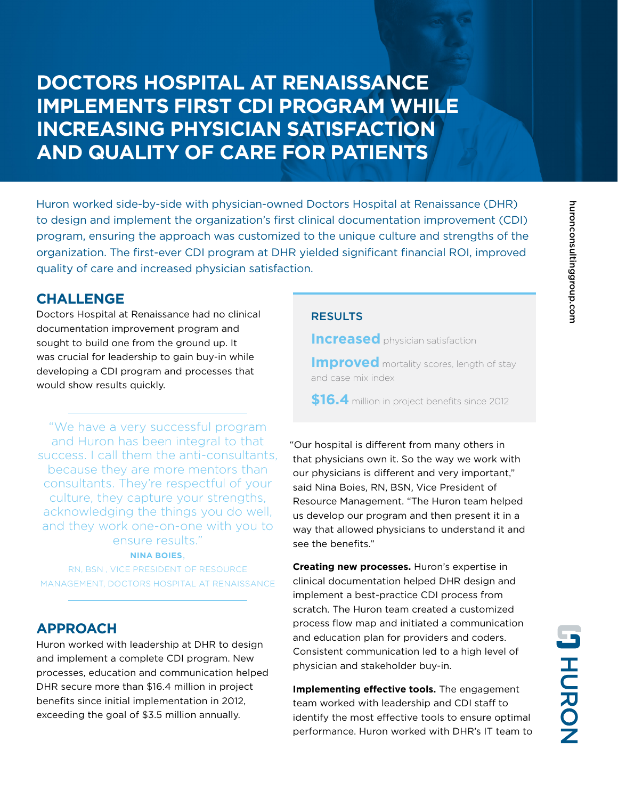# **DOCTORS HOSPITAL AT RENAISSANCE IMPLEMENTS FIRST CDI PROGRAM WHILE INCREASING PHYSICIAN SATISFACTION AND QUALITY OF CARE FOR PATIENTS**

Huron worked side-by-side with physician-owned Doctors Hospital at Renaissance (DHR) to design and implement the organization's first clinical documentation improvement (CDI) program, ensuring the approach was customized to the unique culture and strengths of the organization. The first-ever CDI program at DHR yielded significant financial ROI, improved quality of care and increased physician satisfaction.

## **CHALLENGE**

Doctors Hospital at Renaissance had no clinical documentation improvement program and sought to build one from the ground up. It was crucial for leadership to gain buy-in while developing a CDI program and processes that would show results quickly.

"We have a very successful program and Huron has been integral to that success. I call them the anti-consultants, because they are more mentors than consultants. They're respectful of your culture, they capture your strengths, acknowledging the things you do well, and they work one-on-one with you to ensure results."

### **NINA BOIES**,

RN, BSN , VICE PRESIDENT OF RESOURCE MANAGEMENT, DOCTORS HOSPITAL AT RENAISSANCE

## **APPROACH**

Huron worked with leadership at DHR to design and implement a complete CDI program. New processes, education and communication helped DHR secure more than \$16.4 million in project benefits since initial implementation in 2012, exceeding the goal of \$3.5 million annually.

### **RESULTS**

**Increased** physician satisfaction

**Improved** mortality scores, length of stay and case mix index

**\$16.4** million in project benefits since 2012

 "Our hospital is different from many others in that physicians own it. So the way we work with our physicians is different and very important," said Nina Boies, RN, BSN, Vice President of Resource Management. "The Huron team helped us develop our program and then present it in a way that allowed physicians to understand it and see the benefits."

**Creating new processes.** Huron's expertise in clinical documentation helped DHR design and implement a best-practice CDI process from scratch. The Huron team created a customized process flow map and initiated a communication and education plan for providers and coders. Consistent communication led to a high level of physician and stakeholder buy-in.

**Implementing effective tools.** The engagement team worked with leadership and CDI staff to identify the most effective tools to ensure optimal performance. Huron worked with DHR's IT team to